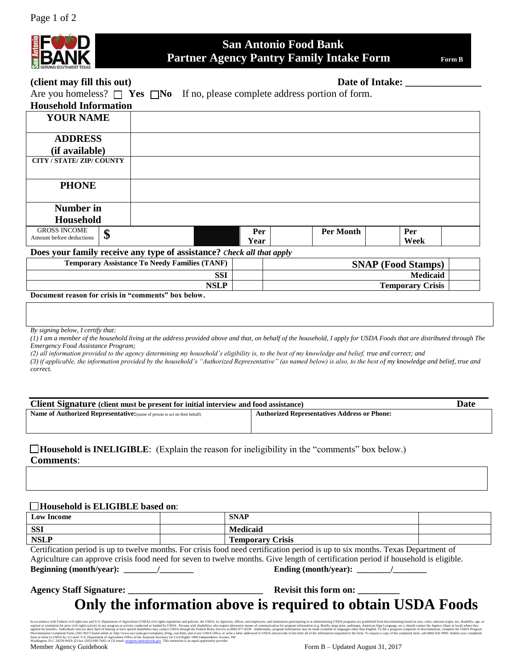

# **San Antonio Food Bank Partner Agency Pantry Family Intake Form**  Form B

# (client may fill this out) **Date of Intake:**  $\qquad \qquad$  Date of Intake:

Are you homeless?  $\Box$  Yes  $\Box$ No If no, please complete address portion of form.

| <b>Household Information</b>     |                                                                              |                           |      |  |  |
|----------------------------------|------------------------------------------------------------------------------|---------------------------|------|--|--|
| <b>YOUR NAME</b>                 |                                                                              |                           |      |  |  |
|                                  |                                                                              |                           |      |  |  |
| <b>ADDRESS</b>                   |                                                                              |                           |      |  |  |
| (if available)                   |                                                                              |                           |      |  |  |
| <b>CITY / STATE/ ZIP/ COUNTY</b> |                                                                              |                           |      |  |  |
|                                  |                                                                              |                           |      |  |  |
| <b>PHONE</b>                     |                                                                              |                           |      |  |  |
|                                  |                                                                              |                           |      |  |  |
| Number in                        |                                                                              |                           |      |  |  |
| <b>Household</b>                 |                                                                              |                           |      |  |  |
| <b>GROSS INCOME</b><br>Φ         |                                                                              | <b>Per Month</b><br>Per   | Per  |  |  |
| Amount before deductions<br>ΨP   |                                                                              | Year                      | Week |  |  |
|                                  | Does your family receive any type of assistance? <i>check all that apply</i> |                           |      |  |  |
|                                  | <b>Temporary Assistance To Needy Families (TANF)</b>                         | <b>SNAP (Food Stamps)</b> |      |  |  |
|                                  |                                                                              |                           |      |  |  |

#### **SSI Medicaid NSLP Temporary Crisis**

#### **Document reason for crisis in "comments" box below.**

*By signing below, I certify that:*

*(1) I am a member of the household living at the address provided above and that, on behalf of the household, I apply for USDA Foods that are distributed through The Emergency Food Assistance Program;*

*(2) all information provided to the agency determining my household's eligibility is, to the best of my knowledge and belief, true and correct; and*

*(3) if applicable, the information provided by the household's "Authorized Representative" (as named below) is also, to the best of my knowledge and belief, true and correct.*

| Client Signature (client must be present for initial interview and food assistance) |                                                     |  |  |  |  |
|-------------------------------------------------------------------------------------|-----------------------------------------------------|--|--|--|--|
| <b>Name of Authorized Representative:</b> (name of person to act on their behalf)   | <b>Authorized Representatives Address or Phone:</b> |  |  |  |  |
|                                                                                     |                                                     |  |  |  |  |

**Household is INELIGIBLE:** (Explain the reason for ineligibility in the "comments" box below.) **Comments**:

#### **Household is ELIGIBLE based on**:

| <b>Low Income</b> | <b>SNAP</b>                |  |
|-------------------|----------------------------|--|
| <b>SSI</b>        | Medicaid                   |  |
| <b>NSLP</b>       | <b>Crisis</b><br>Temporary |  |

Certification period is up to twelve months. For crisis food need certification period is up to six months. Texas Department of Agriculture can approve crisis food need for seven to twelve months. Give length of certification period if household is eligible. **Beginning (month/year): \_\_\_\_\_\_\_\_/\_\_\_\_\_\_\_\_ Ending (month/year): \_\_\_\_\_\_\_\_/\_\_\_\_\_\_\_\_**

# **Agency Staff Signature: \_\_\_\_\_\_\_\_\_\_\_\_\_\_\_\_\_\_\_\_\_\_\_\_\_\_\_\_\_ Revisit this form on: \_\_\_\_\_\_\_\_\_**

# **Only the information above is required to obtain USDA Foods**

In a corodan ce with Fedent civil rights activity in any mogam or activity conducted or funded by USDA. Persons with disabilities who require alternative means of communication for program information for program informati